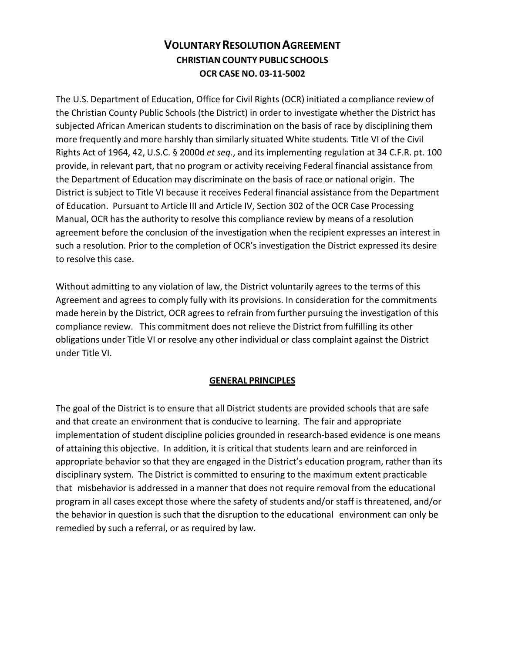# **VOLUNTARY RESOLUTION AGREEMENT CHRISTIAN COUNTY PUBLIC SCHOOLS OCR CASE NO. 03-11-5002**

The U.S. Department of Education, Office for Civil Rights (OCR) initiated a compliance review of the Christian County Public Schools (the District) in order to investigate whether the District has subjected African American students to discrimination on the basis of race by disciplining them more frequently and more harshly than similarly situated White students. Title VI of the Civil Rights Act of 1964, 42, U.S.C. § 2000d *et seq.*, and its implementing regulation at 34 C.F.R. pt. 100 provide, in relevant part, that no program or activity receiving Federal financial assistance from the Department of Education may discriminate on the basis of race or national origin. The District is subject to Title VI because it receives Federal financial assistance from the Department of Education. Pursuant to Article III and Article IV, Section 302 of the OCR Case Processing Manual, OCR has the authority to resolve this compliance review by means of a resolution agreement before the conclusion of the investigation when the recipient expresses an interest in such a resolution. Prior to the completion of OCR's investigation the District expressed its desire to resolve this case.

Without admitting to any violation of law, the District voluntarily agrees to the terms of this Agreement and agrees to comply fully with its provisions. In consideration for the commitments made herein by the District, OCR agrees to refrain from further pursuing the investigation of this compliance review. This commitment does not relieve the District from fulfilling its other obligations under Title VI or resolve any other individual or class complaint against the District under Title VI.

# **GENERAL PRINCIPLES**

The goal of the District is to ensure that all District students are provided schools that are safe and that create an environment that is conducive to learning. The fair and appropriate implementation of student discipline policies grounded in research-based evidence is one means of attaining this objective. In addition, it is critical that students learn and are reinforced in appropriate behavior so that they are engaged in the District's education program, rather than its disciplinary system. The District is committed to ensuring to the maximum extent practicable that misbehavior is addressed in a manner that does not require removal from the educational program in all cases except those where the safety of students and/or staff is threatened, and/or the behavior in question is such that the disruption to the educational environment can only be remedied by such a referral, or as required by law.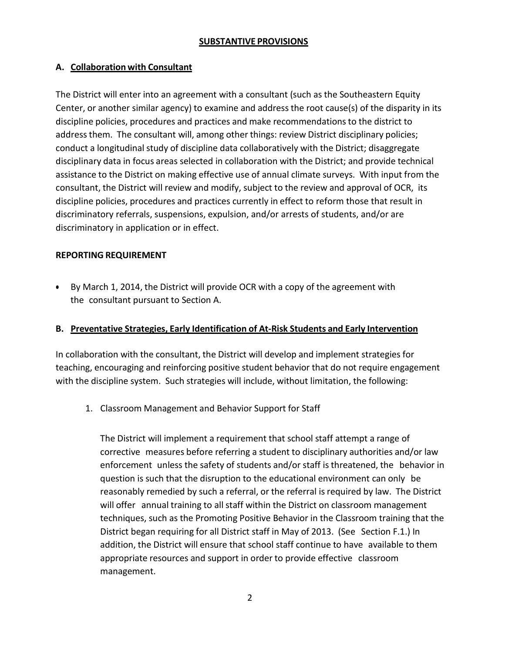#### **SUBSTANTIVE PROVISIONS**

## **A. Collaboration with Consultant**

The District will enter into an agreement with a consultant (such as the Southeastern Equity Center, or another similar agency) to examine and address the root cause(s) of the disparity in its discipline policies, procedures and practices and make recommendations to the district to addressthem. The consultant will, among other things: review District disciplinary policies; conduct a longitudinal study of discipline data collaboratively with the District; disaggregate disciplinary data in focus areas selected in collaboration with the District; and provide technical assistance to the District on making effective use of annual climate surveys. With input from the consultant, the District will review and modify, subject to the review and approval of OCR, its discipline policies, procedures and practices currently in effect to reform those that result in discriminatory referrals, suspensions, expulsion, and/or arrests of students, and/or are discriminatory in application or in effect.

## **REPORTING REQUIREMENT**

• By March 1, 2014, the District will provide OCR with a copy of the agreement with the consultant pursuant to Section A.

### **B. Preventative Strategies, Early Identification of At-Risk Students and Early Intervention**

In collaboration with the consultant, the District will develop and implement strategies for teaching, encouraging and reinforcing positive student behavior that do not require engagement with the discipline system. Such strategies will include, without limitation, the following:

1. Classroom Management and Behavior Support for Staff

The District will implement a requirement that school staff attempt a range of corrective measures before referring a student to disciplinary authorities and/or law enforcement unless the safety of students and/or staff is threatened, the behavior in question is such that the disruption to the educational environment can only be reasonably remedied by such a referral, or the referral is required by law. The District will offer annual training to all staff within the District on classroom management techniques, such as the Promoting Positive Behavior in the Classroom training that the District began requiring for all District staff in May of 2013. (See Section F.1.) In addition, the District will ensure that school staff continue to have available to them appropriate resources and support in order to provide effective classroom management.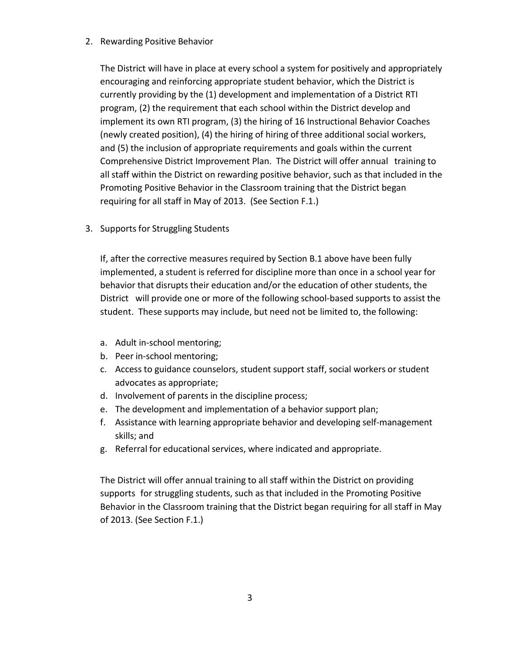### 2. Rewarding Positive Behavior

The District will have in place at every school a system for positively and appropriately encouraging and reinforcing appropriate student behavior, which the District is currently providing by the (1) development and implementation of a District RTI program, (2) the requirement that each school within the District develop and implement its own RTI program, (3) the hiring of 16 Instructional Behavior Coaches (newly created position), (4) the hiring of hiring of three additional social workers, and (5) the inclusion of appropriate requirements and goals within the current Comprehensive District Improvement Plan. The District will offer annual training to all staff within the District on rewarding positive behavior, such as that included in the Promoting Positive Behavior in the Classroom training that the District began requiring for all staff in May of 2013. (See Section F.1.)

3. Supports for Struggling Students

If, after the corrective measures required by Section B.1 above have been fully implemented, a student is referred for discipline more than once in a school year for behavior that disrupts their education and/or the education of other students, the District will provide one or more of the following school-based supports to assist the student. These supports may include, but need not be limited to, the following:

- a. Adult in-school mentoring;
- b. Peer in-school mentoring;
- c. Access to guidance counselors, student support staff, social workers or student advocates as appropriate;
- d. Involvement of parents in the discipline process;
- e. The development and implementation of a behavior support plan;
- f. Assistance with learning appropriate behavior and developing self-management skills; and
- g. Referral for educational services, where indicated and appropriate.

The District will offer annual training to all staff within the District on providing supports for struggling students, such as that included in the Promoting Positive Behavior in the Classroom training that the District began requiring for all staff in May of 2013. (See Section F.1.)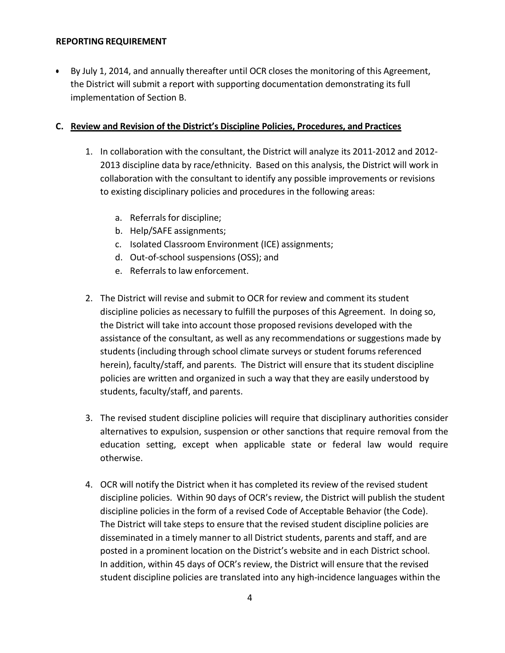#### **REPORTING REQUIREMENT**

• By July 1, 2014, and annually thereafter until OCR closes the monitoring of this Agreement, the District will submit a report with supporting documentation demonstrating its full implementation of Section B.

## **C. Review and Revision of the District's Discipline Policies, Procedures, and Practices**

- 1. In collaboration with the consultant, the District will analyze its 2011-2012 and 2012- 2013 discipline data by race/ethnicity. Based on this analysis, the District will work in collaboration with the consultant to identify any possible improvements or revisions to existing disciplinary policies and procedures in the following areas:
	- a. Referrals for discipline;
	- b. Help/SAFE assignments;
	- c. Isolated Classroom Environment (ICE) assignments;
	- d. Out-of-school suspensions (OSS); and
	- e. Referrals to law enforcement.
- 2. The District will revise and submit to OCR for review and comment its student discipline policies as necessary to fulfill the purposes of this Agreement. In doing so, the District will take into account those proposed revisions developed with the assistance of the consultant, as well as any recommendations or suggestions made by students (including through school climate surveys or student forums referenced herein), faculty/staff, and parents. The District will ensure that its student discipline policies are written and organized in such a way that they are easily understood by students, faculty/staff, and parents.
- 3. The revised student discipline policies will require that disciplinary authorities consider alternatives to expulsion, suspension or other sanctions that require removal from the education setting, except when applicable state or federal law would require otherwise.
- 4. OCR will notify the District when it has completed its review of the revised student discipline policies. Within 90 days of OCR's review, the District will publish the student discipline policies in the form of a revised Code of Acceptable Behavior (the Code). The District will take steps to ensure that the revised student discipline policies are disseminated in a timely manner to all District students, parents and staff, and are posted in a prominent location on the District's website and in each District school. In addition, within 45 days of OCR's review, the District will ensure that the revised student discipline policies are translated into any high-incidence languages within the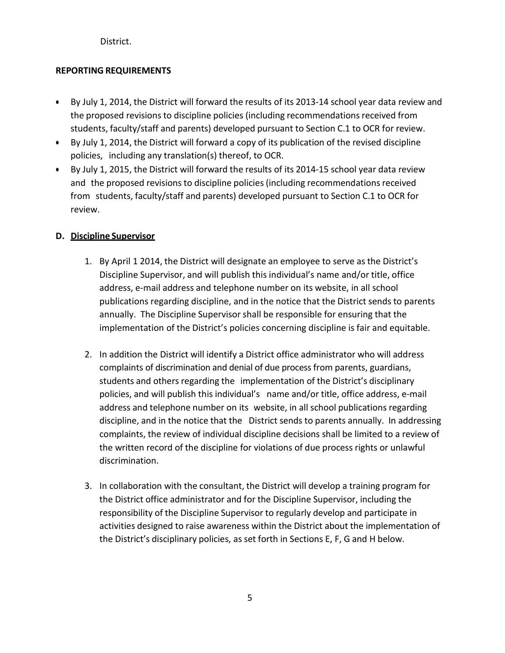District.

# **REPORTING REQUIREMENTS**

- By July 1, 2014, the District will forward the results of its 2013-14 school year data review and the proposed revisions to discipline policies (including recommendations received from students, faculty/staff and parents) developed pursuant to Section C.1 to OCR for review.
- By July 1, 2014, the District will forward a copy of its publication of the revised discipline policies, including any translation(s) thereof, to OCR.
- By July 1, 2015, the District will forward the results of its 2014-15 school year data review and the proposed revisionsto discipline policies (including recommendations received from students, faculty/staff and parents) developed pursuant to Section C.1 to OCR for review.

# **D. Discipline Supervisor**

- 1. By April 1 2014, the District will designate an employee to serve as the District's Discipline Supervisor, and will publish this individual's name and/or title, office address, e-mail address and telephone number on its website, in all school publications regarding discipline, and in the notice that the District sends to parents annually. The Discipline Supervisor shall be responsible for ensuring that the implementation of the District's policies concerning discipline is fair and equitable.
- 2. In addition the District will identify a District office administrator who will address complaints of discrimination and denial of due process from parents, guardians, students and others regarding the implementation of the District's disciplinary policies, and will publish this individual's name and/or title, office address, e-mail address and telephone number on its website, in all school publications regarding discipline, and in the notice that the District sends to parents annually. In addressing complaints, the review of individual discipline decisions shall be limited to a review of the written record of the discipline for violations of due process rights or unlawful discrimination.
- 3. In collaboration with the consultant, the District will develop a training program for the District office administrator and for the Discipline Supervisor, including the responsibility of the Discipline Supervisor to regularly develop and participate in activities designed to raise awareness within the District about the implementation of the District's disciplinary policies, as set forth in Sections E, F, G and H below.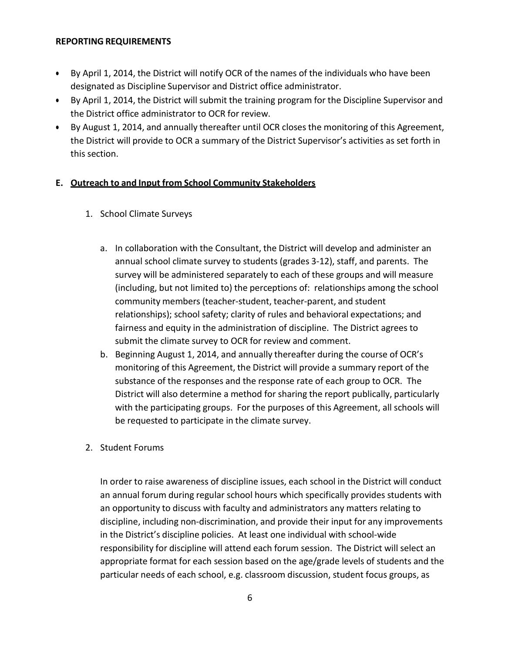#### **REPORTING REQUIREMENTS**

- By April 1, 2014, the District will notify OCR of the names of the individuals who have been designated as Discipline Supervisor and District office administrator.
- By April 1, 2014, the District will submit the training program for the Discipline Supervisor and the District office administrator to OCR for review.
- By August 1, 2014, and annually thereafter until OCR closes the monitoring of this Agreement, the District will provide to OCR a summary of the District Supervisor's activities as set forth in this section.

# **E. Outreach to and Input from School Community Stakeholders**

- 1. School Climate Surveys
	- a. In collaboration with the Consultant, the District will develop and administer an annual school climate survey to students (grades 3-12), staff, and parents. The survey will be administered separately to each of these groups and will measure (including, but not limited to) the perceptions of: relationships among the school community members (teacher-student, teacher-parent, and student relationships); school safety; clarity of rules and behavioral expectations; and fairness and equity in the administration of discipline. The District agrees to submit the climate survey to OCR for review and comment.
	- b. Beginning August 1, 2014, and annually thereafter during the course of OCR's monitoring of this Agreement, the District will provide a summary report of the substance of the responses and the response rate of each group to OCR. The District will also determine a method for sharing the report publically, particularly with the participating groups. For the purposes of this Agreement, all schools will be requested to participate in the climate survey.
- 2. Student Forums

In order to raise awareness of discipline issues, each school in the District will conduct an annual forum during regular school hours which specifically provides students with an opportunity to discuss with faculty and administrators any matters relating to discipline, including non-discrimination, and provide their input for any improvements in the District's discipline policies. At least one individual with school-wide responsibility for discipline will attend each forum session. The District will select an appropriate format for each session based on the age/grade levels of students and the particular needs of each school, e.g. classroom discussion, student focus groups, as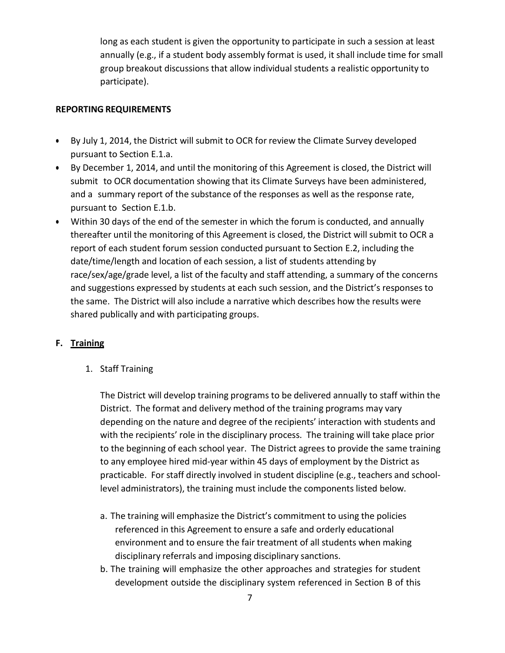long as each student is given the opportunity to participate in such a session at least annually (e.g., if a student body assembly format is used, it shall include time for small group breakout discussions that allow individual students a realistic opportunity to participate).

### **REPORTING REQUIREMENTS**

- By July 1, 2014, the District will submit to OCR for review the Climate Survey developed pursuant to Section E.1.a.
- By December 1, 2014, and until the monitoring of this Agreement is closed, the District will submit to OCR documentation showing that its Climate Surveys have been administered, and a summary report of the substance of the responses as well as the response rate, pursuant to Section E.1.b.
- Within 30 days of the end of the semester in which the forum is conducted, and annually thereafter until the monitoring of this Agreement is closed, the District will submit to OCR a report of each student forum session conducted pursuant to Section E.2, including the date/time/length and location of each session, a list of students attending by race/sex/age/grade level, a list of the faculty and staff attending, a summary of the concerns and suggestions expressed by students at each such session, and the District's responses to the same. The District will also include a narrative which describes how the results were shared publically and with participating groups.

# **F. Training**

1. Staff Training

The District will develop training programs to be delivered annually to staff within the District. The format and delivery method of the training programs may vary depending on the nature and degree of the recipients' interaction with students and with the recipients' role in the disciplinary process. The training will take place prior to the beginning of each school year. The District agrees to provide the same training to any employee hired mid-year within 45 days of employment by the District as practicable. For staff directly involved in student discipline (e.g., teachers and schoollevel administrators), the training must include the components listed below.

- a. The training will emphasize the District's commitment to using the policies referenced in this Agreement to ensure a safe and orderly educational environment and to ensure the fair treatment of all students when making disciplinary referrals and imposing disciplinary sanctions.
- b. The training will emphasize the other approaches and strategies for student development outside the disciplinary system referenced in Section B of this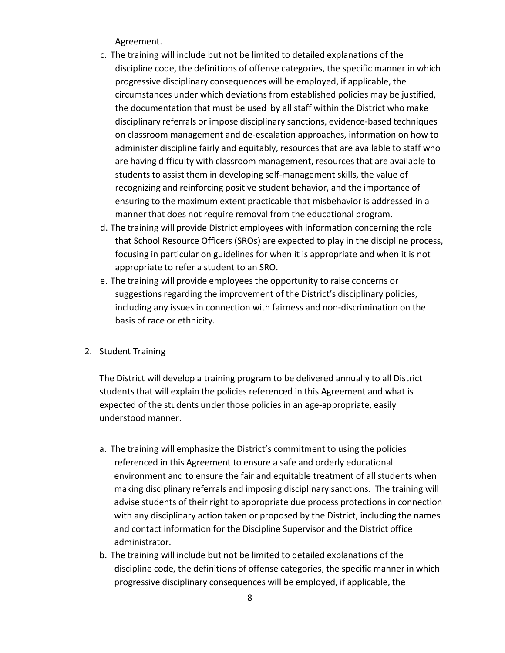Agreement.

- c. The training will include but not be limited to detailed explanations of the discipline code, the definitions of offense categories, the specific manner in which progressive disciplinary consequences will be employed, if applicable, the circumstances under which deviations from established policies may be justified, the documentation that must be used by all staff within the District who make disciplinary referrals or impose disciplinary sanctions, evidence-based techniques on classroom management and de-escalation approaches, information on how to administer discipline fairly and equitably, resources that are available to staff who are having difficulty with classroom management, resources that are available to students to assist them in developing self-management skills, the value of recognizing and reinforcing positive student behavior, and the importance of ensuring to the maximum extent practicable that misbehavior is addressed in a manner that does not require removal from the educational program.
- d. The training will provide District employees with information concerning the role that School Resource Officers (SROs) are expected to play in the discipline process, focusing in particular on guidelines for when it is appropriate and when it is not appropriate to refer a student to an SRO.
- e. The training will provide employees the opportunity to raise concerns or suggestions regarding the improvement of the District's disciplinary policies, including any issues in connection with fairness and non-discrimination on the basis of race or ethnicity.
- 2. Student Training

The District will develop a training program to be delivered annually to all District students that will explain the policies referenced in this Agreement and what is expected of the students under those policies in an age-appropriate, easily understood manner.

- a. The training will emphasize the District's commitment to using the policies referenced in this Agreement to ensure a safe and orderly educational environment and to ensure the fair and equitable treatment of all students when making disciplinary referrals and imposing disciplinary sanctions. The training will advise students of their right to appropriate due process protections in connection with any disciplinary action taken or proposed by the District, including the names and contact information for the Discipline Supervisor and the District office administrator.
- b. The training will include but not be limited to detailed explanations of the discipline code, the definitions of offense categories, the specific manner in which progressive disciplinary consequences will be employed, if applicable, the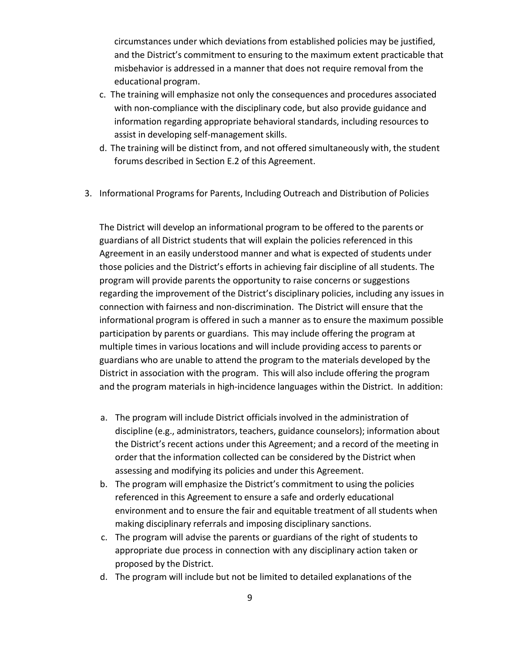circumstances under which deviations from established policies may be justified, and the District's commitment to ensuring to the maximum extent practicable that misbehavior is addressed in a manner that does not require removal from the educational program.

- c. The training will emphasize not only the consequences and procedures associated with non-compliance with the disciplinary code, but also provide guidance and information regarding appropriate behavioral standards, including resources to assist in developing self-management skills.
- d. The training will be distinct from, and not offered simultaneously with, the student forums described in Section E.2 of this Agreement.
- 3. Informational Programs for Parents, Including Outreach and Distribution of Policies

The District will develop an informational program to be offered to the parents or guardians of all District students that will explain the policies referenced in this Agreement in an easily understood manner and what is expected of students under those policies and the District's efforts in achieving fair discipline of all students. The program will provide parents the opportunity to raise concerns or suggestions regarding the improvement of the District's disciplinary policies, including any issues in connection with fairness and non-discrimination. The District will ensure that the informational program is offered in such a manner as to ensure the maximum possible participation by parents or guardians. This may include offering the program at multiple times in various locations and will include providing access to parents or guardians who are unable to attend the program to the materials developed by the District in association with the program. This will also include offering the program and the program materials in high-incidence languages within the District. In addition:

- a. The program will include District officials involved in the administration of discipline (e.g., administrators, teachers, guidance counselors); information about the District's recent actions under this Agreement; and a record of the meeting in order that the information collected can be considered by the District when assessing and modifying its policies and under this Agreement.
- b. The program will emphasize the District's commitment to using the policies referenced in this Agreement to ensure a safe and orderly educational environment and to ensure the fair and equitable treatment of all students when making disciplinary referrals and imposing disciplinary sanctions.
- c. The program will advise the parents or guardians of the right of students to appropriate due process in connection with any disciplinary action taken or proposed by the District.
- d. The program will include but not be limited to detailed explanations of the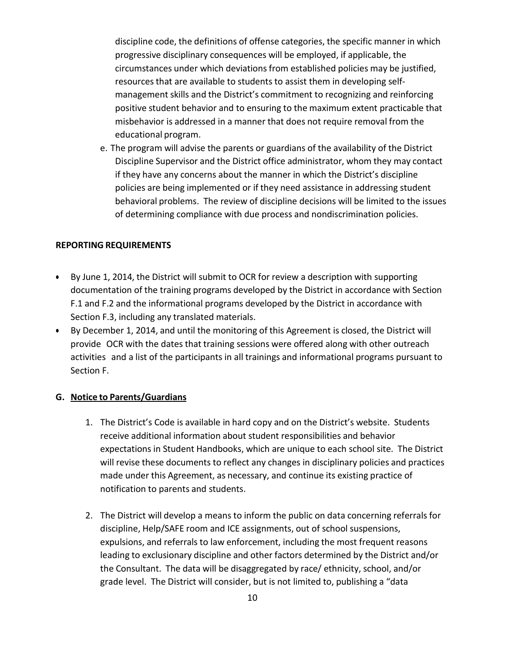discipline code, the definitions of offense categories, the specific manner in which progressive disciplinary consequences will be employed, if applicable, the circumstances under which deviations from established policies may be justified, resources that are available to students to assist them in developing selfmanagement skills and the District's commitment to recognizing and reinforcing positive student behavior and to ensuring to the maximum extent practicable that misbehavior is addressed in a manner that does not require removal from the educational program.

e. The program will advise the parents or guardians of the availability of the District Discipline Supervisor and the District office administrator, whom they may contact if they have any concerns about the manner in which the District's discipline policies are being implemented or if they need assistance in addressing student behavioral problems. The review of discipline decisions will be limited to the issues of determining compliance with due process and nondiscrimination policies.

### **REPORTING REQUIREMENTS**

- By June 1, 2014, the District will submit to OCR for review a description with supporting documentation of the training programs developed by the District in accordance with Section F.1 and F.2 and the informational programs developed by the District in accordance with Section F.3, including any translated materials.
- By December 1, 2014, and until the monitoring of this Agreement is closed, the District will provide OCR with the dates that training sessions were offered along with other outreach activities and a list of the participants in all trainings and informational programs pursuant to Section F.

### **G. Notice to Parents/Guardians**

- 1. The District's Code is available in hard copy and on the District's website. Students receive additional information about student responsibilities and behavior expectations in Student Handbooks, which are unique to each school site. The District will revise these documents to reflect any changes in disciplinary policies and practices made under this Agreement, as necessary, and continue its existing practice of notification to parents and students.
- 2. The District will develop a means to inform the public on data concerning referrals for discipline, Help/SAFE room and ICE assignments, out of school suspensions, expulsions, and referrals to law enforcement, including the most frequent reasons leading to exclusionary discipline and other factors determined by the District and/or the Consultant. The data will be disaggregated by race/ ethnicity, school, and/or grade level. The District will consider, but is not limited to, publishing a "data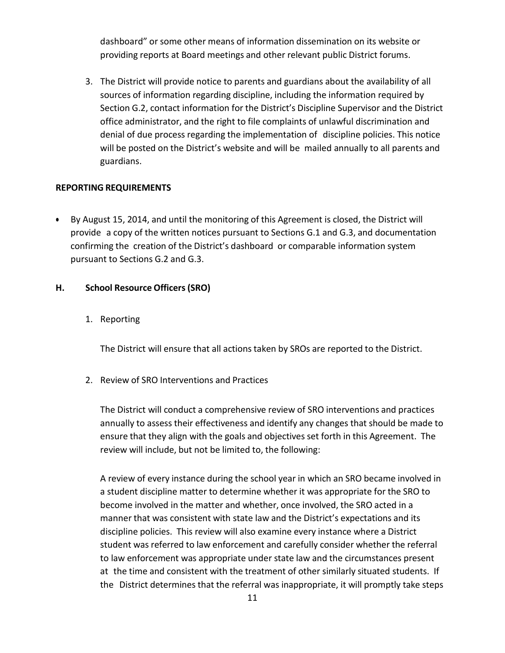dashboard" or some other means of information dissemination on its website or providing reports at Board meetings and other relevant public District forums.

3. The District will provide notice to parents and guardians about the availability of all sources of information regarding discipline, including the information required by Section G.2, contact information for the District's Discipline Supervisor and the District office administrator, and the right to file complaints of unlawful discrimination and denial of due process regarding the implementation of discipline policies. This notice will be posted on the District's website and will be mailed annually to all parents and guardians.

#### **REPORTING REQUIREMENTS**

• By August 15, 2014, and until the monitoring of this Agreement is closed, the District will provide a copy of the written notices pursuant to Sections G.1 and G.3, and documentation confirming the creation of the District's dashboard or comparable information system pursuant to Sections G.2 and G.3.

#### **H. School Resource Officers (SRO)**

1. Reporting

The District will ensure that all actions taken by SROs are reported to the District.

2. Review of SRO Interventions and Practices

The District will conduct a comprehensive review of SRO interventions and practices annually to assess their effectiveness and identify any changes that should be made to ensure that they align with the goals and objectives set forth in this Agreement. The review will include, but not be limited to, the following:

A review of every instance during the school year in which an SRO became involved in a student discipline matter to determine whether it was appropriate for the SRO to become involved in the matter and whether, once involved, the SRO acted in a manner that was consistent with state law and the District's expectations and its discipline policies. This review will also examine every instance where a District student was referred to law enforcement and carefully consider whether the referral to law enforcement was appropriate under state law and the circumstances present at the time and consistent with the treatment of other similarly situated students. If the District determines that the referral was inappropriate, it will promptly take steps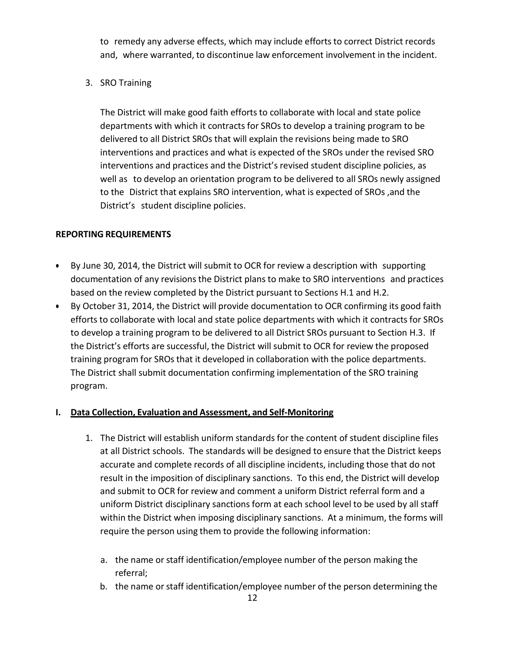to remedy any adverse effects, which may include efforts to correct District records and, where warranted, to discontinue law enforcement involvement in the incident.

3. SRO Training

The District will make good faith efforts to collaborate with local and state police departments with which it contracts for SROs to develop a training program to be delivered to all District SROs that will explain the revisions being made to SRO interventions and practices and what is expected of the SROs under the revised SRO interventions and practices and the District's revised student discipline policies, as well as to develop an orientation program to be delivered to all SROs newly assigned to the District that explains SRO intervention, what is expected of SROs ,and the District's student discipline policies.

## **REPORTING REQUIREMENTS**

- By June 30, 2014, the District will submit to OCR for review a description with supporting documentation of any revisions the District plans to make to SRO interventions and practices based on the review completed by the District pursuant to Sections H.1 and H.2.
- By October 31, 2014, the District will provide documentation to OCR confirming its good faith efforts to collaborate with local and state police departments with which it contracts for SROs to develop a training program to be delivered to all District SROs pursuant to Section H.3. If the District's efforts are successful, the District will submit to OCR for review the proposed training program for SROs that it developed in collaboration with the police departments. The District shall submit documentation confirming implementation of the SRO training program.

# **I. Data Collection, Evaluation and Assessment, and Self-Monitoring**

- 1. The District will establish uniform standards for the content of student discipline files at all District schools. The standards will be designed to ensure that the District keeps accurate and complete records of all discipline incidents, including those that do not result in the imposition of disciplinary sanctions. To this end, the District will develop and submit to OCR for review and comment a uniform District referral form and a uniform District disciplinary sanctions form at each school level to be used by all staff within the District when imposing disciplinary sanctions. At a minimum, the forms will require the person using them to provide the following information:
	- a. the name or staff identification/employee number of the person making the referral;
	- b. the name or staff identification/employee number of the person determining the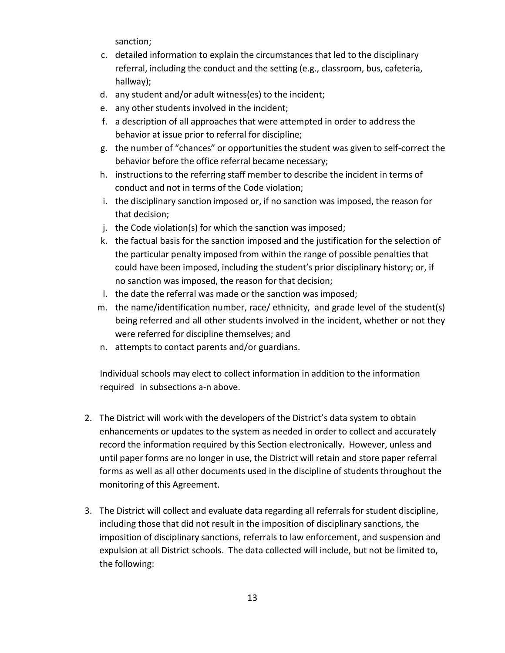sanction;

- c. detailed information to explain the circumstances that led to the disciplinary referral, including the conduct and the setting (e.g., classroom, bus, cafeteria, hallway);
- d. any student and/or adult witness(es) to the incident;
- e. any other students involved in the incident;
- f. a description of all approaches that were attempted in order to address the behavior at issue prior to referral for discipline;
- g. the number of "chances" or opportunities the student was given to self-correct the behavior before the office referral became necessary;
- h. instructions to the referring staff member to describe the incident in terms of conduct and not in terms of the Code violation;
- i. the disciplinary sanction imposed or, if no sanction was imposed, the reason for that decision;
- j. the Code violation(s) for which the sanction was imposed;
- k. the factual basis for the sanction imposed and the justification for the selection of the particular penalty imposed from within the range of possible penalties that could have been imposed, including the student's prior disciplinary history; or, if no sanction was imposed, the reason for that decision;
- l. the date the referral was made or the sanction was imposed;
- m. the name/identification number, race/ ethnicity, and grade level of the student(s) being referred and all other students involved in the incident, whether or not they were referred for discipline themselves; and
- n. attempts to contact parents and/or guardians.

Individual schools may elect to collect information in addition to the information required in subsections a-n above.

- 2. The District will work with the developers of the District's data system to obtain enhancements or updates to the system as needed in order to collect and accurately record the information required by this Section electronically. However, unless and until paper forms are no longer in use, the District will retain and store paper referral forms as well as all other documents used in the discipline of students throughout the monitoring of this Agreement.
- 3. The District will collect and evaluate data regarding all referrals for student discipline, including those that did not result in the imposition of disciplinary sanctions, the imposition of disciplinary sanctions, referrals to law enforcement, and suspension and expulsion at all District schools. The data collected will include, but not be limited to, the following: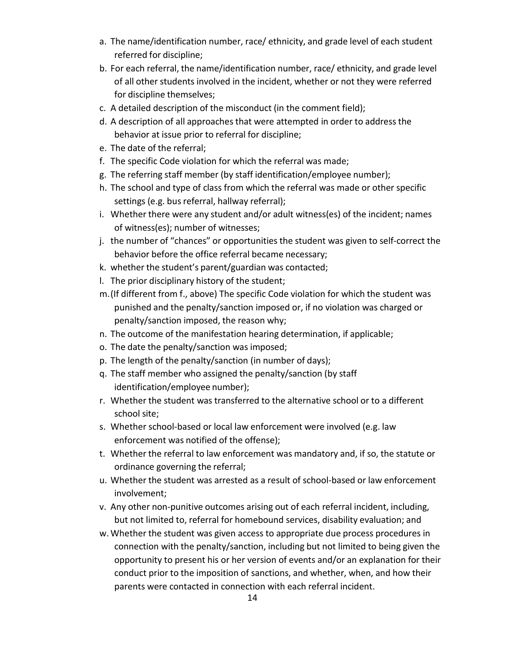- a. The name/identification number, race/ ethnicity, and grade level of each student referred for discipline;
- b. For each referral, the name/identification number, race/ ethnicity, and grade level of all other students involved in the incident, whether or not they were referred for discipline themselves;
- c. A detailed description of the misconduct (in the comment field);
- d. A description of all approaches that were attempted in order to address the behavior at issue prior to referral for discipline;
- e. The date of the referral;
- f. The specific Code violation for which the referral was made;
- g. The referring staff member (by staff identification/employee number);
- h. The school and type of class from which the referral was made or other specific settings (e.g. bus referral, hallway referral);
- i. Whether there were any student and/or adult witness(es) of the incident; names of witness(es); number of witnesses;
- j. the number of "chances" or opportunities the student was given to self-correct the behavior before the office referral became necessary;
- k. whether the student's parent/guardian was contacted;
- l. The prior disciplinary history of the student;
- m.(If different from f., above) The specific Code violation for which the student was punished and the penalty/sanction imposed or, if no violation was charged or penalty/sanction imposed, the reason why;
- n. The outcome of the manifestation hearing determination, if applicable;
- o. The date the penalty/sanction was imposed;
- p. The length of the penalty/sanction (in number of days);
- q. The staff member who assigned the penalty/sanction (by staff identification/employee number);
- r. Whether the student was transferred to the alternative school or to a different school site;
- s. Whether school-based or local law enforcement were involved (e.g. law enforcement was notified of the offense);
- t. Whether the referral to law enforcement was mandatory and, if so, the statute or ordinance governing the referral;
- u. Whether the student was arrested as a result of school-based or law enforcement involvement;
- v. Any other non-punitive outcomes arising out of each referral incident, including, but not limited to, referral for homebound services, disability evaluation; and
- w. Whether the student was given access to appropriate due process procedures in connection with the penalty/sanction, including but not limited to being given the opportunity to present his or her version of events and/or an explanation for their conduct prior to the imposition of sanctions, and whether, when, and how their parents were contacted in connection with each referral incident.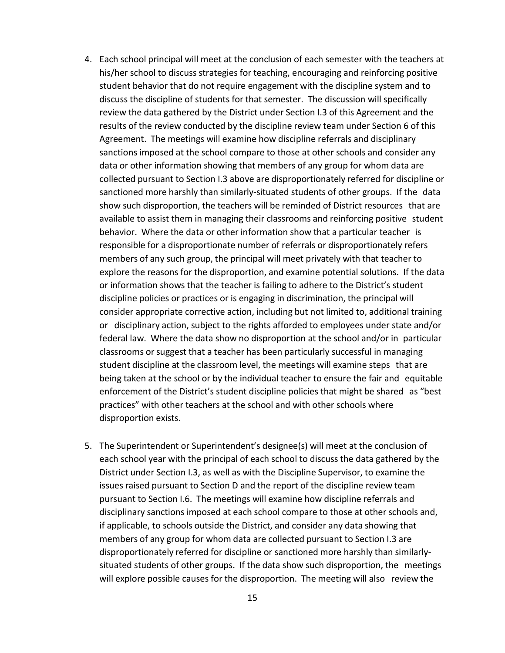- 4. Each school principal will meet at the conclusion of each semester with the teachers at his/her school to discuss strategies for teaching, encouraging and reinforcing positive student behavior that do not require engagement with the discipline system and to discuss the discipline of students for that semester. The discussion will specifically review the data gathered by the District under Section I.3 of this Agreement and the results of the review conducted by the discipline review team under Section 6 of this Agreement. The meetings will examine how discipline referrals and disciplinary sanctions imposed at the school compare to those at other schools and consider any data or other information showing that members of any group for whom data are collected pursuant to Section I.3 above are disproportionately referred for discipline or sanctioned more harshly than similarly-situated students of other groups. If the data show such disproportion, the teachers will be reminded of District resources that are available to assist them in managing their classrooms and reinforcing positive student behavior. Where the data or other information show that a particular teacher is responsible for a disproportionate number of referrals or disproportionately refers members of any such group, the principal will meet privately with that teacher to explore the reasons for the disproportion, and examine potential solutions. If the data or information shows that the teacher is failing to adhere to the District's student discipline policies or practices or is engaging in discrimination, the principal will consider appropriate corrective action, including but not limited to, additional training or disciplinary action, subject to the rights afforded to employees under state and/or federal law. Where the data show no disproportion at the school and/or in particular classrooms orsuggest that a teacher has been particularly successful in managing student discipline at the classroom level, the meetings will examine steps that are being taken at the school or by the individual teacher to ensure the fair and equitable enforcement of the District's student discipline policies that might be shared as "best practices" with other teachers at the school and with other schools where disproportion exists.
- 5. The Superintendent or Superintendent's designee(s) will meet at the conclusion of each school year with the principal of each school to discuss the data gathered by the District under Section I.3, as well as with the Discipline Supervisor, to examine the issues raised pursuant to Section D and the report of the discipline review team pursuant to Section I.6. The meetings will examine how discipline referrals and disciplinary sanctions imposed at each school compare to those at other schools and, if applicable, to schools outside the District, and consider any data showing that members of any group for whom data are collected pursuant to Section I.3 are disproportionately referred for discipline or sanctioned more harshly than similarlysituated students of other groups. If the data show such disproportion, the meetings will explore possible causes for the disproportion. The meeting will also review the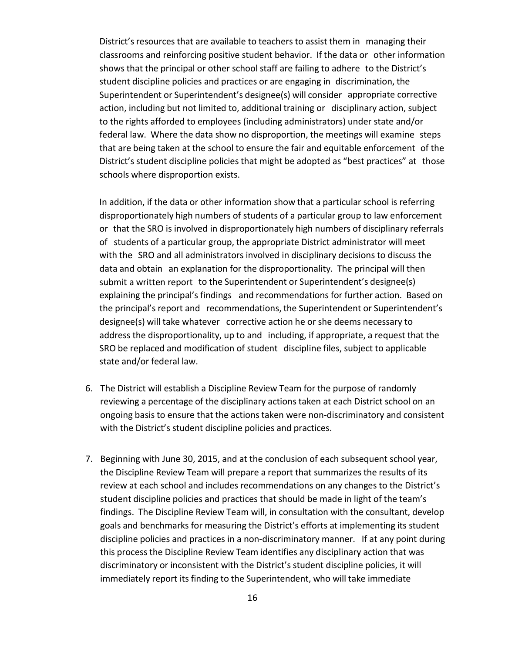District's resources that are available to teachers to assist them in managing their classrooms and reinforcing positive student behavior. If the data or other information shows that the principal or other school staff are failing to adhere to the District's student discipline policies and practices or are engaging in discrimination, the Superintendent or Superintendent's designee(s) will consider appropriate corrective action, including but not limited to, additional training or disciplinary action, subject to the rights afforded to employees (including administrators) under state and/or federal law. Where the data show no disproportion, the meetings will examine steps that are being taken at the school to ensure the fair and equitable enforcement of the District's student discipline policies that might be adopted as "best practices" at those schools where disproportion exists.

In addition, if the data or other information show that a particular school is referring disproportionately high numbers of students of a particular group to law enforcement or that the SRO is involved in disproportionately high numbers of disciplinary referrals of students of a particular group, the appropriate District administrator will meet with the SRO and all administrators involved in disciplinary decisions to discuss the data and obtain an explanation for the disproportionality. The principal will then submit a written report to the Superintendent or Superintendent's designee(s) explaining the principal's findings and recommendations for further action. Based on the principal's report and recommendations, the Superintendent or Superintendent's designee(s) will take whatever corrective action he or she deems necessary to address the disproportionality, up to and including, if appropriate, a request that the SRO be replaced and modification of student discipline files, subject to applicable state and/or federal law.

- 6. The District will establish a Discipline Review Team for the purpose of randomly reviewing a percentage of the disciplinary actions taken at each District school on an ongoing basis to ensure that the actions taken were non-discriminatory and consistent with the District's student discipline policies and practices.
- 7. Beginning with June 30, 2015, and at the conclusion of each subsequent school year, the Discipline Review Team will prepare a report that summarizes the results of its review at each school and includes recommendations on any changes to the District's student discipline policies and practices that should be made in light of the team's findings. The Discipline Review Team will, in consultation with the consultant, develop goals and benchmarks for measuring the District's efforts at implementing its student discipline policies and practices in a non-discriminatory manner. If at any point during this process the Discipline Review Team identifies any disciplinary action that was discriminatory or inconsistent with the District's student discipline policies, it will immediately report its finding to the Superintendent, who will take immediate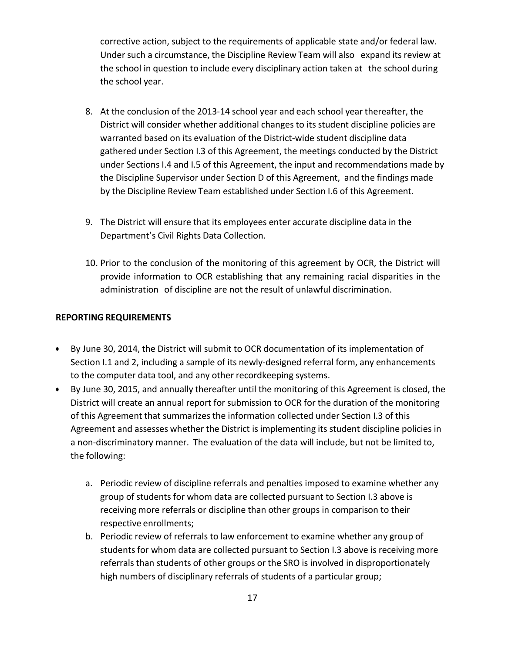corrective action, subject to the requirements of applicable state and/or federal law. Under such a circumstance, the Discipline Review Team will also expand its review at the school in question to include every disciplinary action taken at the school during the school year.

- 8. At the conclusion of the 2013-14 school year and each school year thereafter, the District will consider whether additional changes to its student discipline policies are warranted based on its evaluation of the District-wide student discipline data gathered under Section I.3 of this Agreement, the meetings conducted by the District under Sections I.4 and I.5 of this Agreement, the input and recommendations made by the Discipline Supervisor under Section D of this Agreement, and the findings made by the Discipline Review Team established under Section I.6 of this Agreement.
- 9. The District will ensure that its employees enter accurate discipline data in the Department's Civil Rights Data Collection.
- 10. Prior to the conclusion of the monitoring of this agreement by OCR, the District will provide information to OCR establishing that any remaining racial disparities in the administration of discipline are not the result of unlawful discrimination.

#### **REPORTING REQUIREMENTS**

- By June 30, 2014, the District will submit to OCR documentation of its implementation of Section I.1 and 2, including a sample of its newly-designed referral form, any enhancements to the computer data tool, and any other recordkeeping systems.
- By June 30, 2015, and annually thereafter until the monitoring of this Agreement is closed, the District will create an annual report for submission to OCR for the duration of the monitoring of this Agreement that summarizes the information collected under Section I.3 of this Agreement and assesses whether the District is implementing its student discipline policies in a non-discriminatory manner. The evaluation of the data will include, but not be limited to, the following:
	- a. Periodic review of discipline referrals and penalties imposed to examine whether any group of students for whom data are collected pursuant to Section I.3 above is receiving more referrals or discipline than other groups in comparison to their respective enrollments;
	- b. Periodic review of referrals to law enforcement to examine whether any group of students for whom data are collected pursuant to Section I.3 above is receiving more referrals than students of other groups or the SRO is involved in disproportionately high numbers of disciplinary referrals of students of a particular group;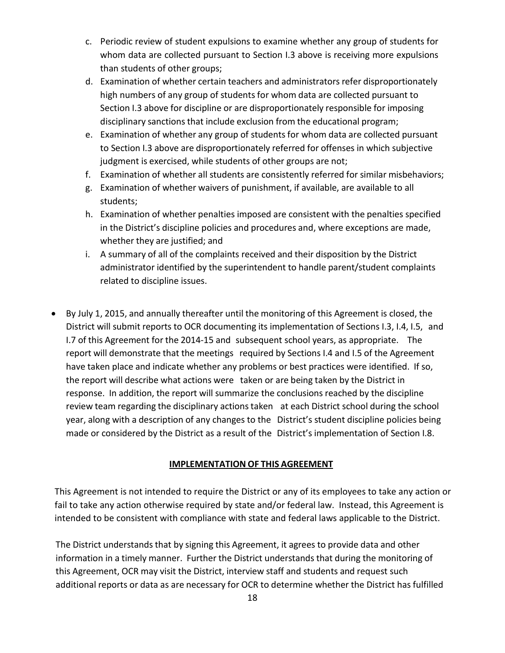- c. Periodic review of student expulsions to examine whether any group of students for whom data are collected pursuant to Section I.3 above is receiving more expulsions than students of other groups;
- d. Examination of whether certain teachers and administrators refer disproportionately high numbers of any group of students for whom data are collected pursuant to Section I.3 above for discipline or are disproportionately responsible for imposing disciplinary sanctions that include exclusion from the educational program;
- e. Examination of whether any group of students for whom data are collected pursuant to Section I.3 above are disproportionately referred for offenses in which subjective judgment is exercised, while students of other groups are not;
- f. Examination of whether all students are consistently referred for similar misbehaviors;
- g. Examination of whether waivers of punishment, if available, are available to all students;
- h. Examination of whether penalties imposed are consistent with the penalties specified in the District's discipline policies and procedures and, where exceptions are made, whether they are justified; and
- i. A summary of all of the complaints received and their disposition by the District administrator identified by the superintendent to handle parent/student complaints related to discipline issues.
- By July 1, 2015, and annually thereafter until the monitoring of this Agreement is closed, the District will submit reports to OCR documenting its implementation of Sections I.3, I.4, I.5, and I.7 of this Agreement for the 2014-15 and subsequent school years, as appropriate. The report will demonstrate that the meetings required by Sections I.4 and I.5 of the Agreement have taken place and indicate whether any problems or best practices were identified. If so, the report will describe what actions were taken or are being taken by the District in response. In addition, the report will summarize the conclusions reached by the discipline review team regarding the disciplinary actionstaken at each District school during the school year, along with a description of any changes to the District's student discipline policies being made or considered by the District as a result of the District's implementation of Section I.8.

### **IMPLEMENTATION OF THIS AGREEMENT**

This Agreement is not intended to require the District or any of its employees to take any action or fail to take any action otherwise required by state and/or federal law. Instead, this Agreement is intended to be consistent with compliance with state and federal laws applicable to the District.

The District understands that by signing this Agreement, it agrees to provide data and other information in a timely manner. Further the District understands that during the monitoring of this Agreement, OCR may visit the District, interview staff and students and request such additional reports or data as are necessary for OCR to determine whether the District has fulfilled